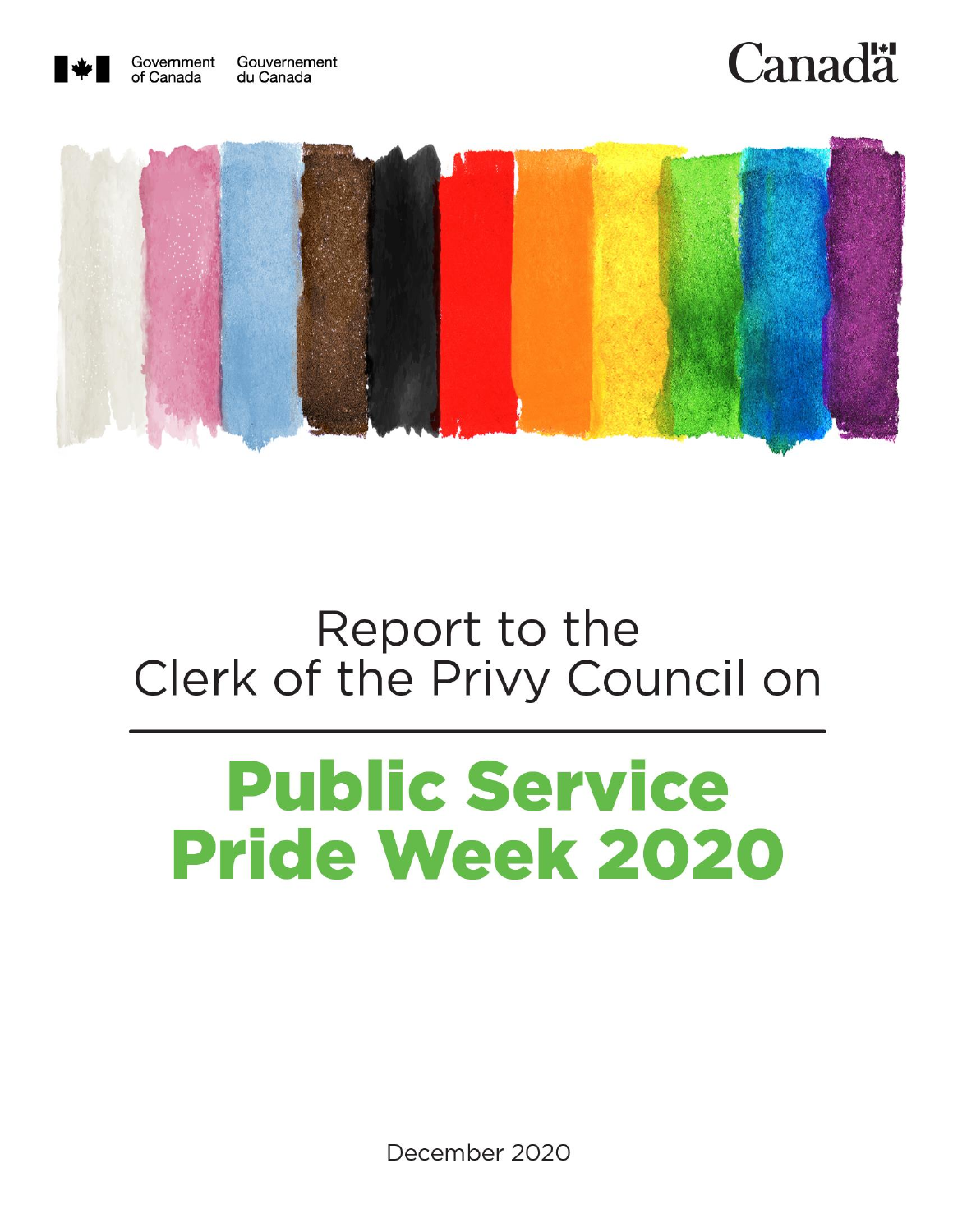

### **Canadä**



### Report to the Clerk of the Privy Council on

# **Public Service Pride Week 2020**

December 2020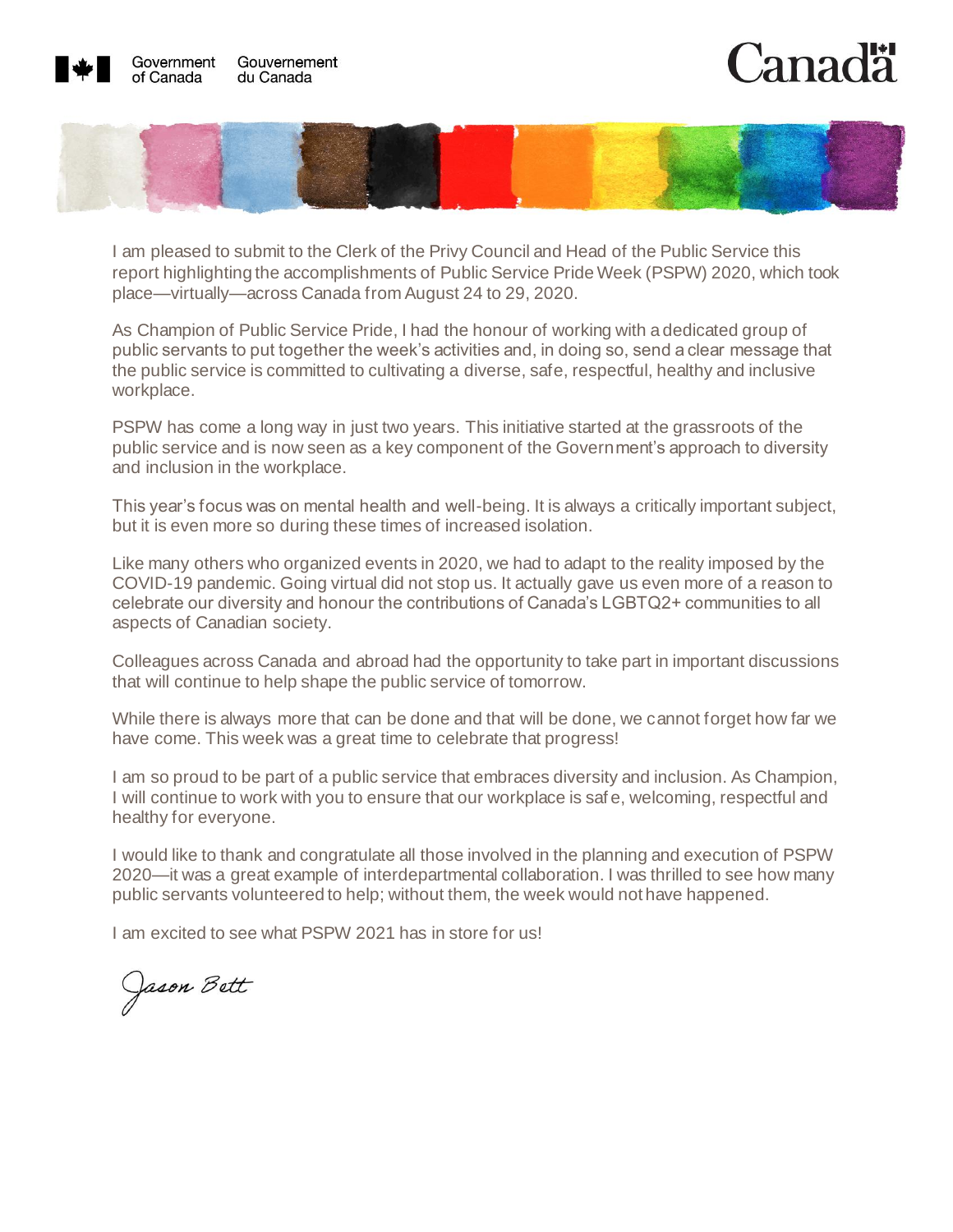

### 'anac



I am pleased to submit to the Clerk of the Privy Council and Head of the Public Service this report highlighting the accomplishments of Public Service Pride Week (PSPW) 2020, which took place—virtually—across Canada from August 24 to 29, 2020.

As Champion of Public Service Pride, I had the honour of working with a dedicated group of public servants to put together the week's activities and, in doing so, send a clear message that the public service is committed to cultivating a diverse, safe, respectful, healthy and inclusive workplace.

PSPW has come a long way in just two years. This initiative started at the grassroots of the public service and is now seen as a key component of the Government's approach to diversity and inclusion in the workplace.

This year's focus was on mental health and well-being. It is always a critically important subject, but it is even more so during these times of increased isolation.

Like many others who organized events in 2020, we had to adapt to the reality imposed by the COVID-19 pandemic. Going virtual did not stop us. It actually gave us even more of a reason to celebrate our diversity and honour the contributions of Canada's LGBTQ2+ communities to all aspects of Canadian society.

Colleagues across Canada and abroad had the opportunity to take part in important discussions that will continue to help shape the public service of tomorrow.

While there is always more that can be done and that will be done, we cannot forget how far we have come. This week was a great time to celebrate that progress!

I am so proud to be part of a public service that embraces diversity and inclusion. As Champion, I will continue to work with you to ensure that our workplace is saf e, welcoming, respectful and healthy for everyone.

I would like to thank and congratulate all those involved in the planning and execution of PSPW 2020—it was a great example of interdepartmental collaboration. I was thrilled to see how many public servants volunteered to help; without them, the week would not have happened.

I am excited to see what PSPW 2021 has in store for us!

Jason Bett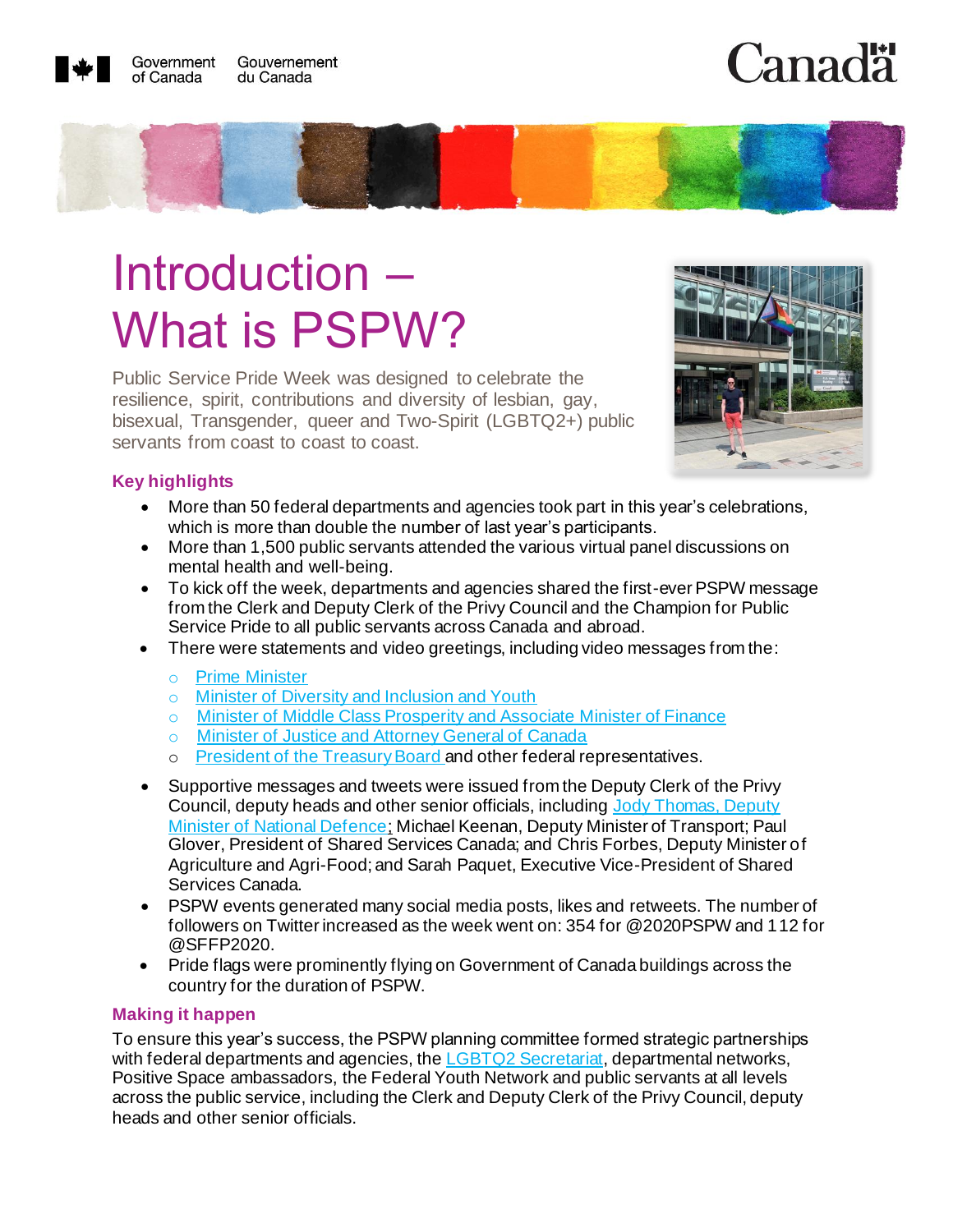

### anadä



### Introduction – What is PSPW?

Public Service Pride Week was designed to celebrate the resilience, spirit, contributions and diversity of lesbian, gay, bisexual, Transgender, queer and Two-Spirit (LGBTQ2+) public servants from coast to coast to coast.



#### **Key highlights**

- More than 50 federal departments and agencies took part in this year's celebrations, which is more than double the number of last year's participants.
- More than 1,500 public servants attended the various virtual panel discussions on mental health and well-being.
- To kick off the week, departments and agencies shared the first-ever PSPW message from the Clerk and Deputy Clerk of the Privy Council and the Champion for Public Service Pride to all public servants across Canada and abroad.
- There were statements and video greetings, including video messages from the:
	- o [Prime Minister](https://www.youtube.com/watch?v=yE5Jegk-0do)
	- o [Minister of Diversity and Inclusion and Youth](https://twitter.com/freetobeme_ca/status/1297895481486581764)
	- o [Minister of Middle Class Prosperity and Associate Minister of Finance](https://twitter.com/monafortier/status/1297963297984192512?s=21)
	- o [Minister of Justice and Attorney General of Canada](https://twitter.com/minjusticeen/status/1297925967088955394?s=21)
	- o [President of the Treasury Board](https://twitter.com/TBS_Canada/status/1298604871550218245) and other federal representatives.
- Supportive messages and tweets were issued from the Deputy Clerk of the Privy Council, deputy heads and other senior officials, includin[g Jody Thomas, Deputy](https://www.canada.ca/en/department-national-defence/maple-leaf/defence/2020/08/message-dm-jody-thomas-public-service-pride-week-2020.html)  [Minister of National Defence](https://www.canada.ca/en/department-national-defence/maple-leaf/defence/2020/08/message-dm-jody-thomas-public-service-pride-week-2020.html); Michael Keenan, Deputy Minister of Transport; Paul Glover, President of Shared Services Canada; and Chris Forbes, Deputy Minister of Agriculture and Agri-Food; and Sarah Paquet, Executive Vice-President of Shared Services Canada.
- PSPW events generated many social media posts, likes and retweets. The number of followers on Twitter increased as the week went on: 354 for @2020PSPW and 112 for @SFFP2020.
- Pride flags were prominently flying on Government of Canada buildings across the country for the duration of PSPW.

#### **Making it happen**

To ensure this year's success, the PSPW planning committee formed strategic partnerships with federal departments and agencies, the LGBTQ2 [Secretariat](https://www.canada.ca/en/canadian-heritage/campaigns/free-to-be-me.html), departmental networks, Positive Space ambassadors, the Federal Youth Network and public servants at all levels across the public service, including the Clerk and Deputy Clerk of the Privy Council, deputy heads and other senior officials.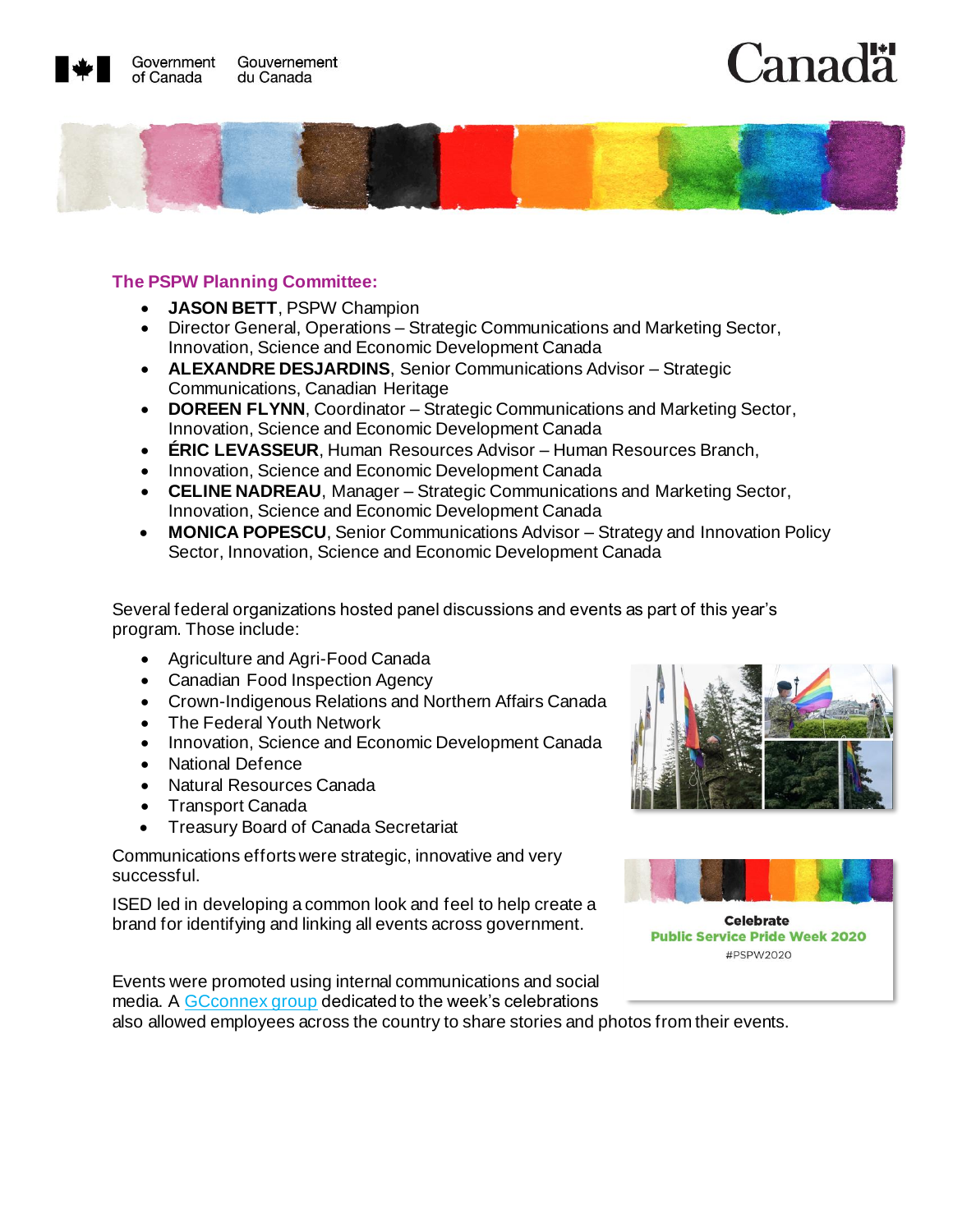

# `anad



#### **The PSPW Planning Committee:**

- **JASON BETT**, PSPW Champion
- Director General, Operations Strategic Communications and Marketing Sector, Innovation, Science and Economic Development Canada
- **ALEXANDRE DESJARDINS**, Senior Communications Advisor Strategic Communications, Canadian Heritage
- **DOREEN FLYNN**, Coordinator Strategic Communications and Marketing Sector, Innovation, Science and Economic Development Canada
- **ÉRIC LEVASSEUR**, Human Resources Advisor Human Resources Branch,
- Innovation, Science and Economic Development Canada
- **CELINE NADREAU**, Manager Strategic Communications and Marketing Sector, Innovation, Science and Economic Development Canada
- **MONICA POPESCU**, Senior Communications Advisor Strategy and Innovation Policy Sector, Innovation, Science and Economic Development Canada

Several federal organizations hosted panel discussions and events as part of this year's program. Those include:

- Agriculture and Agri-Food Canada
- Canadian Food Inspection Agency
- Crown-Indigenous Relations and Northern Affairs Canada
- The Federal Youth Network
- Innovation, Science and Economic Development Canada
- National Defence
- Natural Resources Canada
- Transport Canada
- Treasury Board of Canada Secretariat

Communications efforts were strategic, innovative and very successful.

ISED led in developing a common look and feel to help create a brand for identifying and linking all events across government.

Events were promoted using internal communications and social media. A [GCconnex group](https://gcconnex.gc.ca/groups/profile/40837724/public-service-pride-week-2020-la-semaine-nationale-de-la-fierte-a-la-fonction-publique-2020?language=en) dedicated to the week's celebrations also allowed employees across the country to share stories and photos from their events.





**Celebrate Public Service Pride Week 2020** #PSPW2020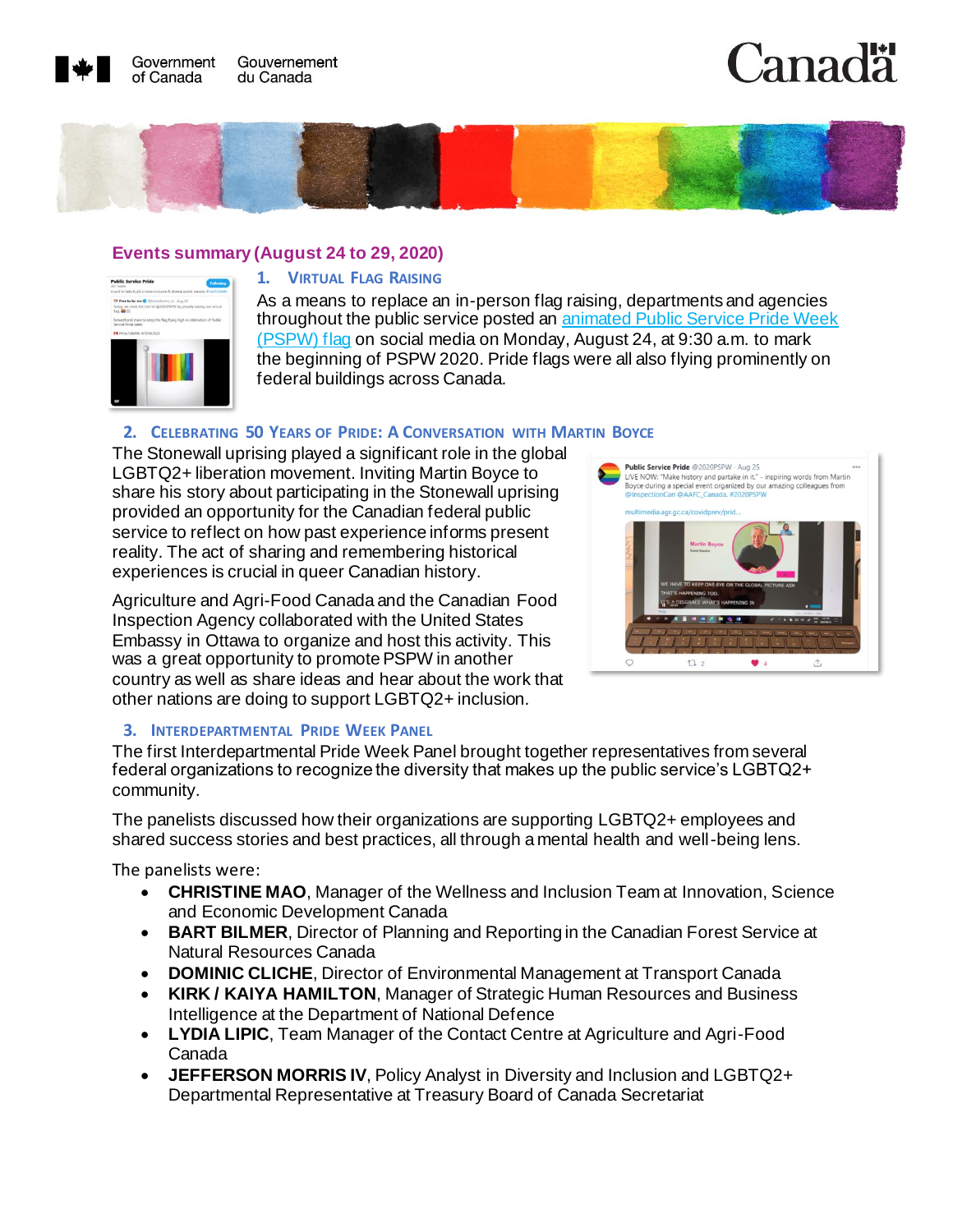

# anadä



#### **Events summary (August 24 to 29, 2020)**

| <b>Public Service Pride</b>                                                                    |           |
|------------------------------------------------------------------------------------------------|-----------|
| 205 Timerts                                                                                    | Fellowing |
| round to help build a more inclusive & diverse public service. Finne cubelvile                 |           |
| <b>M: Free to be me @</b> @thestoberne ca - Aug 24                                             |           |
| Today, we mark the start of @2020PSPW by proudly raising our virtual<br>No. <b>BELL</b>        |           |
| Retweet and share to keep the flag flying high in celebration of Public<br>Service Pride week. |           |
| 14 eligations to NeMap and SPAN 2020.                                                          |           |
|                                                                                                |           |
|                                                                                                |           |
|                                                                                                |           |
|                                                                                                |           |
|                                                                                                |           |
|                                                                                                |           |
|                                                                                                |           |
|                                                                                                |           |

#### **1. VIRTUAL FLAG RAISING**

As a means to replace an in-person flag raising, departments and agencies throughout the public service posted a[n animated Public Service Pride Week](https://twitter.com/freetobeme_ca/status/1297888893967065090)  [\(PSPW\) flag](https://twitter.com/freetobeme_ca/status/1297888893967065090) on social media on Monday, August 24, at 9:30 a.m. to mark the beginning of PSPW 2020. Pride flags were all also flying prominently on federal buildings across Canada.

#### **2. CELEBRATING 50 YEARS OF PRIDE: A CONVERSATION WITH MARTIN BOYCE**

The Stonewall uprising played a significant role in the global LGBTQ2+ liberation movement. Inviting Martin Boyce to share his story about participating in the Stonewall uprising provided an opportunity for the Canadian federal public service to reflect on how past experience informs present reality. The act of sharing and remembering historical experiences is crucial in queer Canadian history.

Agriculture and Agri-Food Canada and the Canadian Food Inspection Agency collaborated with the United States Embassy in Ottawa to organize and host this activity. This was a great opportunity to promote PSPW in another country as well as share ideas and hear about the work that other nations are doing to support LGBTQ2+ inclusion.



#### **3. INTERDEPARTMENTAL PRIDE WEEK PANEL**

The first Interdepartmental Pride Week Panel brought together representatives from several federal organizations to recognize the diversity that makes up the public service's LGBTQ2+ community.

The panelists discussed how their organizations are supporting LGBTQ2+ employees and shared success stories and best practices, all through a mental health and well-being lens.

The panelists were:

- **[CHRISTINE](mailto:christine.mao@canada.ca) MAO**, Manager of the Wellness and Inclusion Team at Innovation, Science and Economic Development Canada
- **BART [BILMER](mailto:bart.bilmer@canada.ca)**, Director of Planning and Reporting in the Canadian Forest Service at Natural Resources Canada
- **[DOMINIC](mailto:dominic.cliche@tc.gc.ca) CLICHE**, Director of Environmental Management at Transport Canada
- **KIRK / KAIYA [HAMILTON](mailto:KIRKDAVID.HAMILTON@forces.gc.ca)**, Manager of Strategic Human Resources and Business Intelligence at the Department of National Defence
- **[LYDIA](mailto:) LIPIC**, Team Manager of the Contact Centre at Agriculture and Agri-Food Canada
- **[JEFFERSON](mailto:Jefferson.MorrisIV@tbs-sct.gc.ca) MORRIS IV**, Policy Analyst in Diversity and Inclusion and LGBTQ2+ Departmental Representative at Treasury Board of Canada Secretariat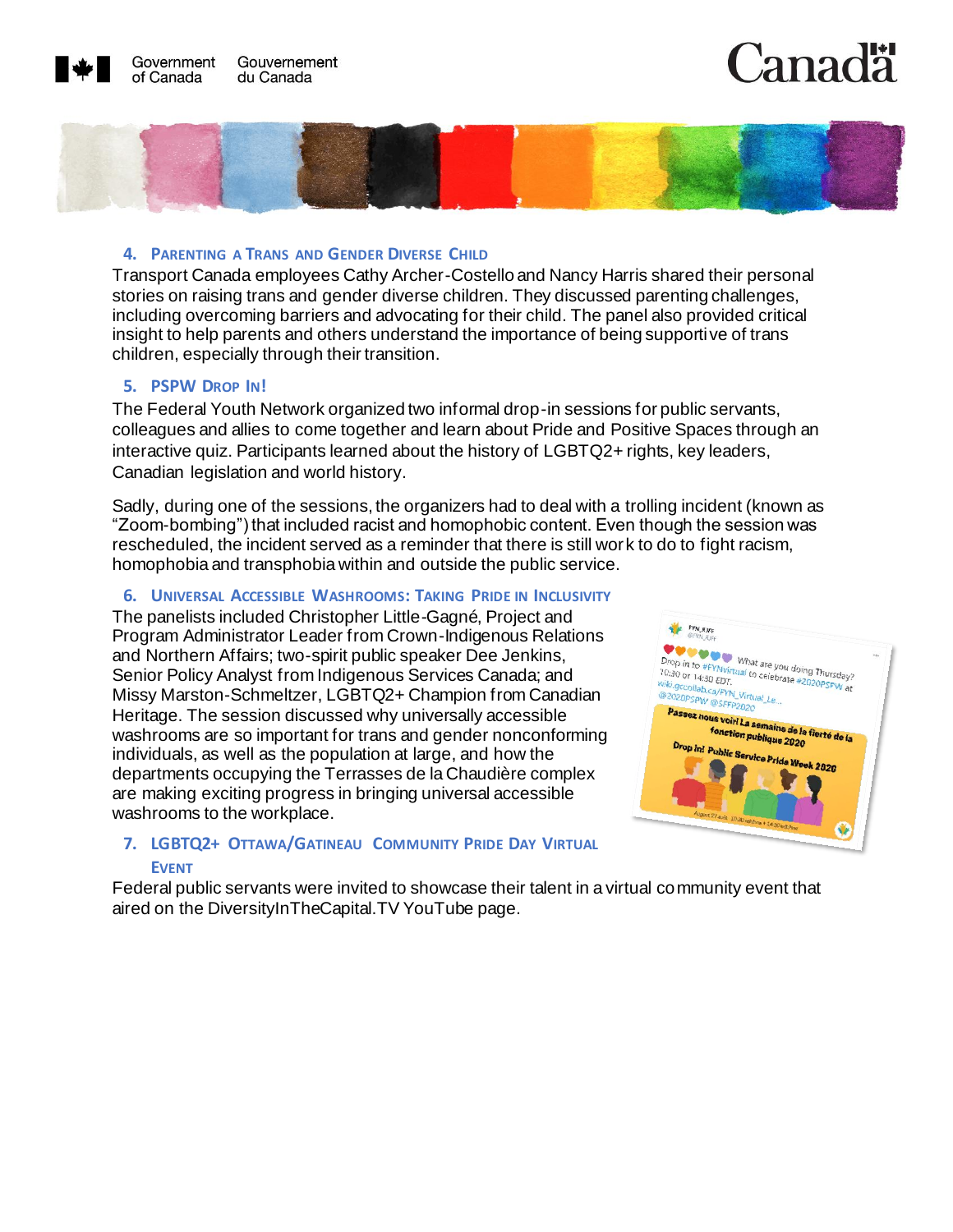

### anadä



#### **4. PARENTING A TRANS AND GENDER DIVERSE CHILD**

Transport Canada employees Cathy Archer-Costello and Nancy Harris shared their personal stories on raising trans and gender diverse children. They discussed parenting challenges, including overcoming barriers and advocating for their child. The panel also provided critical insight to help parents and others understand the importance of being supportive of trans children, especially through their transition.

#### **5. PSPW DROP IN!**

The Federal Youth Network organized two informal drop-in sessions for public servants, colleagues and allies to come together and learn about Pride and Positive Spaces through an interactive quiz. Participants learned about the history of LGBTQ2+ rights, key leaders, Canadian legislation and world history.

Sadly, during one of the sessions, the organizers had to deal with a trolling incident (known as "Zoom-bombing") that included racist and homophobic content. Even though the session was rescheduled, the incident served as a reminder that there is still work to do to fight racism, homophobia and transphobia within and outside the public service.

#### **6. UNIVERSAL ACCESSIBLE WASHROOMS: TAKING PRIDE IN INCLUSIVITY**

The panelists included Christopher Little-Gagné, Project and Program Administrator Leader from Crown-Indigenous Relations and Northern Affairs; two-spirit public speaker Dee Jenkins, Senior Policy Analyst from Indigenous Services Canada; and Missy Marston-Schmeltzer, LGBTQ2+ Champion from Canadian Heritage. The session discussed why universally accessible washrooms are so important for trans and gender nonconforming individuals, as well as the population at large, and how the departments occupying the Terrasses de la Chaudière complex are making exciting progress in bringing universal accessible washrooms to the workplace.

#### **7. LGBTQ2+ OTTAWA/GATINEAU COMMUNITY PRIDE DAY VIRTUAL EVENT**

FYN RJFF Drop in to #FYNvirtual to celebrate #2020PSPM Drop in to #FYNvir Thursday?<br>all to celebrate #2020PSPW at 10:30 or 14:30 EDT. o.su or 14:30 EDT.<br>Wiki.gccollab.ca/FYN\_Virtual\_Le...<br>@2020PSPW\_@SFFP2020\_Le... **Passes** Providence de la fierté de la<br>Passez nous voir! La semaine de la fierté de la<br>Dron i-l p fonction publique 2020 in! Public Service Pride Week 2020 Ø

Federal public servants were invited to showcase their talent in a virtual community event that aired on the DiversityInTheCapital.TV YouTube page.